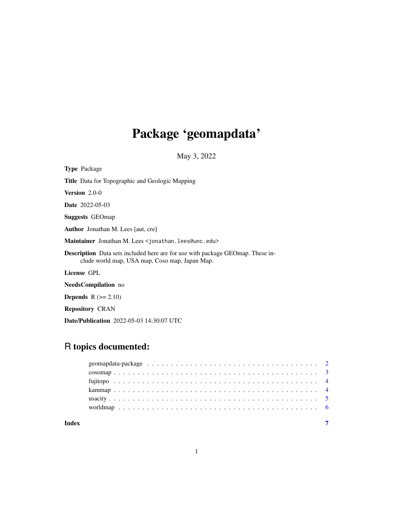# Package 'geomapdata'

May 3, 2022

| <b>Type</b> Package                                                                                                                     |
|-----------------------------------------------------------------------------------------------------------------------------------------|
| <b>Title</b> Data for Topographic and Geologic Mapping                                                                                  |
| <b>Version</b> $2.0-0$                                                                                                                  |
| <b>Date</b> 2022-05-03                                                                                                                  |
| <b>Suggests</b> GEOmap                                                                                                                  |
| Author Jonathan M. Lees [aut, cre]                                                                                                      |
| Maintainer Jonathan M. Lees <jonathan. lees@unc.edu=""></jonathan.>                                                                     |
| <b>Description</b> Data sets included here are for use with package GEOmap. These in-<br>clude world map, USA map, Coso map, Japan Map. |
| License GPL                                                                                                                             |
| NeedsCompilation no                                                                                                                     |
| <b>Depends</b> $R (= 2.10)$                                                                                                             |
| <b>Repository CRAN</b>                                                                                                                  |
| <b>Date/Publication</b> 2022-05-03 14:30:07 UTC                                                                                         |

# R topics documented:

| Index |  |
|-------|--|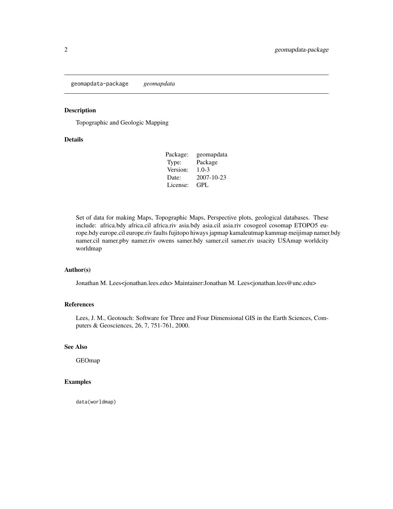<span id="page-1-0"></span>geomapdata-package *geomapdata*

#### Description

Topographic and Geologic Mapping

#### Details

| geomapdata |
|------------|
| Package    |
| $1.0 - 3$  |
| 2007-10-23 |
| GPL        |
|            |

Set of data for making Maps, Topographic Maps, Perspective plots, geological databases. These include: africa.bdy africa.cil africa.riv asia.bdy asia.cil asia.riv cosogeol cosomap ETOPO5 europe.bdy europe.cil europe.riv faults fujitopo hiways japmap kamaleutmap kammap meijimap namer.bdy namer.cil namer.pby namer.riv owens samer.bdy samer.cil samer.riv usacity USAmap worldcity worldmap

#### Author(s)

Jonathan M. Lees<jonathan.lees.edu> Maintainer:Jonathan M. Lees<jonathan.lees@unc.edu>

# References

Lees, J. M., Geotouch: Software for Three and Four Dimensional GIS in the Earth Sciences, Computers & Geosciences, 26, 7, 751-761, 2000.

#### See Also

GEOmap

#### Examples

data(worldmap)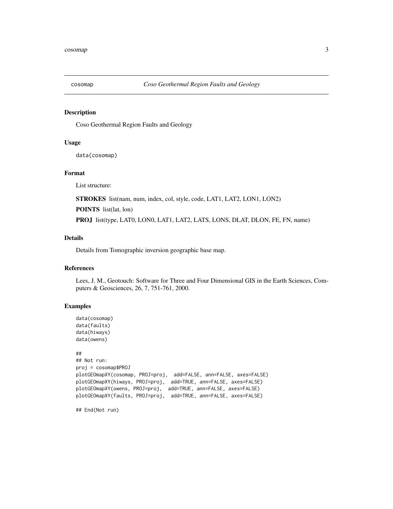<span id="page-2-0"></span>

#### Description

Coso Geothermal Region Faults and Geology

#### Usage

data(cosomap)

#### Format

List structure:

STROKES list(nam, num, index, col, style, code, LAT1, LAT2, LON1, LON2)

POINTS list(lat, lon)

PROJ list(type, LAT0, LON0, LAT1, LAT2, LATS, LONS, DLAT, DLON, FE, FN, name)

#### Details

Details from Tomographic inversion geographic base map.

#### References

Lees, J. M., Geotouch: Software for Three and Four Dimensional GIS in the Earth Sciences, Computers & Geosciences, 26, 7, 751-761, 2000.

#### Examples

```
data(cosomap)
data(faults)
data(hiways)
data(owens)
##
## Not run:
proj = cosomap$PROJ
plotGEOmapXY(cosomap, PROJ=proj, add=FALSE, ann=FALSE, axes=FALSE)
plotGEOmapXY(hiways, PROJ=proj, add=TRUE, ann=FALSE, axes=FALSE)
plotGEOmapXY(owens, PROJ=proj, add=TRUE, ann=FALSE, axes=FALSE)
plotGEOmapXY(faults, PROJ=proj, add=TRUE, ann=FALSE, axes=FALSE)
```

```
## End(Not run)
```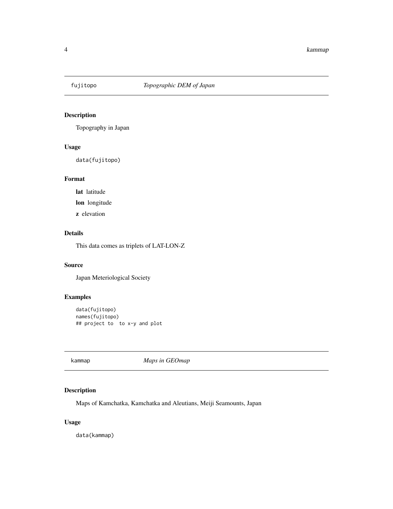<span id="page-3-0"></span>

## Description

Topography in Japan

#### Usage

data(fujitopo)

# Format

lat latitude

lon longitude

z elevation

# Details

This data comes as triplets of LAT-LON-Z

#### Source

Japan Meteriological Society

### Examples

```
data(fujitopo)
names(fujitopo)
## project to to x-y and plot
```
kammap *Maps in GEOmap*

#### Description

Maps of Kamchatka, Kamchatka and Aleutians, Meiji Seamounts, Japan

#### Usage

data(kammap)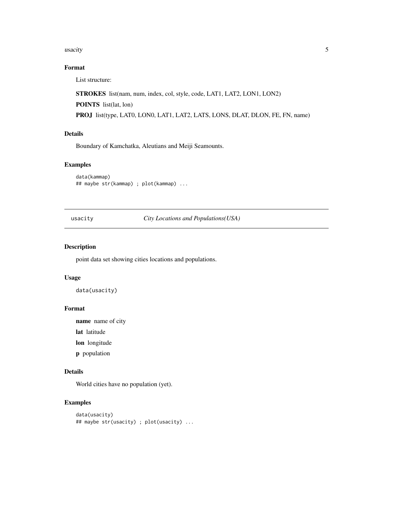#### <span id="page-4-0"></span> $\frac{1}{5}$  usacity

## Format

List structure:

STROKES list(nam, num, index, col, style, code, LAT1, LAT2, LON1, LON2)

POINTS list(lat, lon)

PROJ list(type, LAT0, LON0, LAT1, LAT2, LATS, LONS, DLAT, DLON, FE, FN, name)

#### Details

Boundary of Kamchatka, Aleutians and Meiji Seamounts.

#### Examples

data(kammap) ## maybe str(kammap) ; plot(kammap) ...

usacity *City Locations and Populations(USA)*

#### Description

point data set showing cities locations and populations.

#### Usage

data(usacity)

#### Format

name name of city

lat latitude

lon longitude

p population

#### Details

World cities have no population (yet).

#### Examples

```
data(usacity)
## maybe str(usacity) ; plot(usacity) ...
```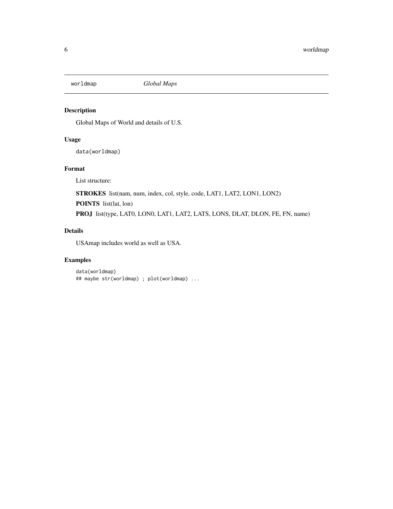<span id="page-5-0"></span>

#### Description

Global Maps of World and details of U.S.

#### Usage

data(worldmap)

#### Format

List structure:

STROKES list(nam, num, index, col, style, code, LAT1, LAT2, LON1, LON2)

POINTS list(lat, lon)

PROJ list(type, LAT0, LON0, LAT1, LAT2, LATS, LONS, DLAT, DLON, FE, FN, name)

#### Details

USAmap includes world as well as USA.

#### Examples

```
data(worldmap)
## maybe str(worldmap) ; plot(worldmap) ...
```